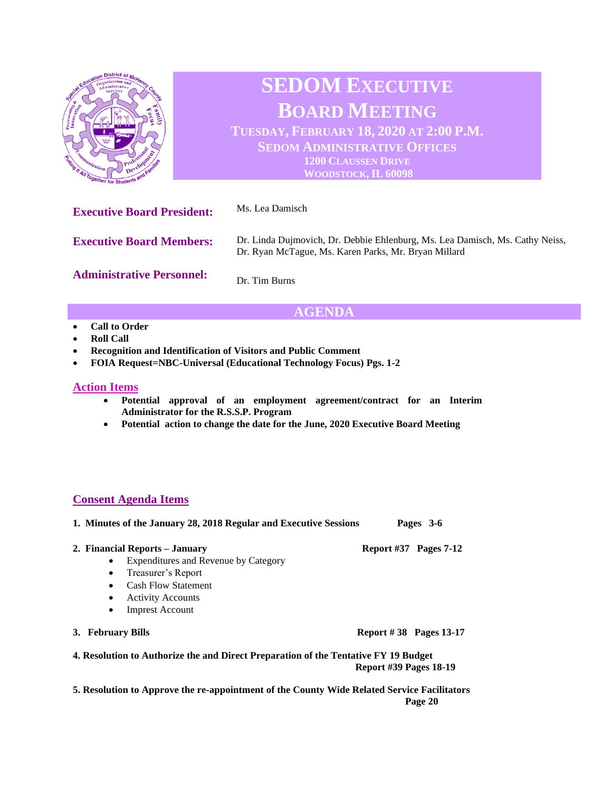

# **AGENDA**

- **Call to Order**
- **Roll Call**
- **Recognition and Identification of Visitors and Public Comment**
- **FOIA Request=NBC-Universal (Educational Technology Focus) Pgs. 1-2**

## **Action Items**

- **Potential approval of an employment agreement/contract for an Interim Administrator for the R.S.S.P. Program**
- **Potential action to change the date for the June, 2020 Executive Board Meeting**

## **Consent Agenda Items**

**1. Minutes of the January 28, 2018 Regular and Executive Sessions Pages 3-6** 

### **2. Financial Reports – January Report #37 Pages 7-12**

- Expenditures and Revenue by Category
- Treasurer's Report
- Cash Flow Statement
- Activity Accounts
- Imprest Account
- **3. February Bills Report # 38 Pages 13-17**

**4. Resolution to Authorize the and Direct Preparation of the Tentative FY 19 Budget** 

 **Report #39 Pages 18-19**

**5. Resolution to Approve the re-appointment of the County Wide Related Service Facilitators Page 20**